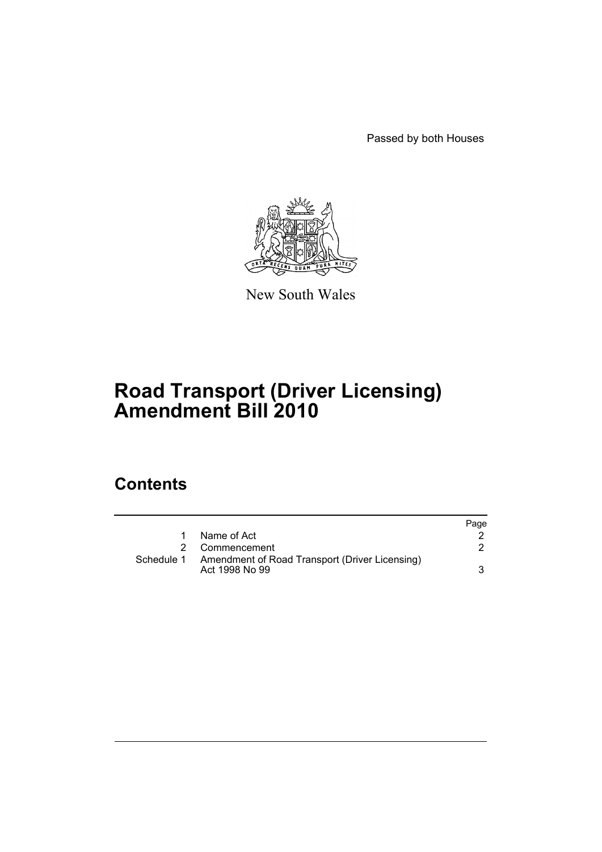Passed by both Houses



New South Wales

# **Road Transport (Driver Licensing) Amendment Bill 2010**

### **Contents**

|            |                                                                  | Page |
|------------|------------------------------------------------------------------|------|
|            | Name of Act                                                      |      |
|            | 2 Commencement                                                   |      |
| Schedule 1 | Amendment of Road Transport (Driver Licensing)<br>Act 1998 No 99 |      |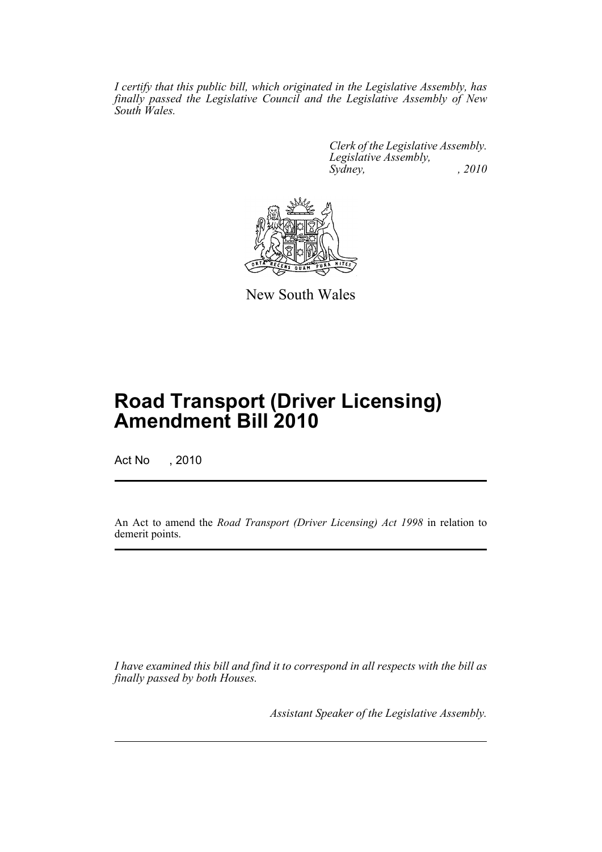*I certify that this public bill, which originated in the Legislative Assembly, has finally passed the Legislative Council and the Legislative Assembly of New South Wales.*

> *Clerk of the Legislative Assembly. Legislative Assembly, Sydney, , 2010*



New South Wales

## **Road Transport (Driver Licensing) Amendment Bill 2010**

Act No , 2010

An Act to amend the *Road Transport (Driver Licensing) Act 1998* in relation to demerit points.

*I have examined this bill and find it to correspond in all respects with the bill as finally passed by both Houses.*

*Assistant Speaker of the Legislative Assembly.*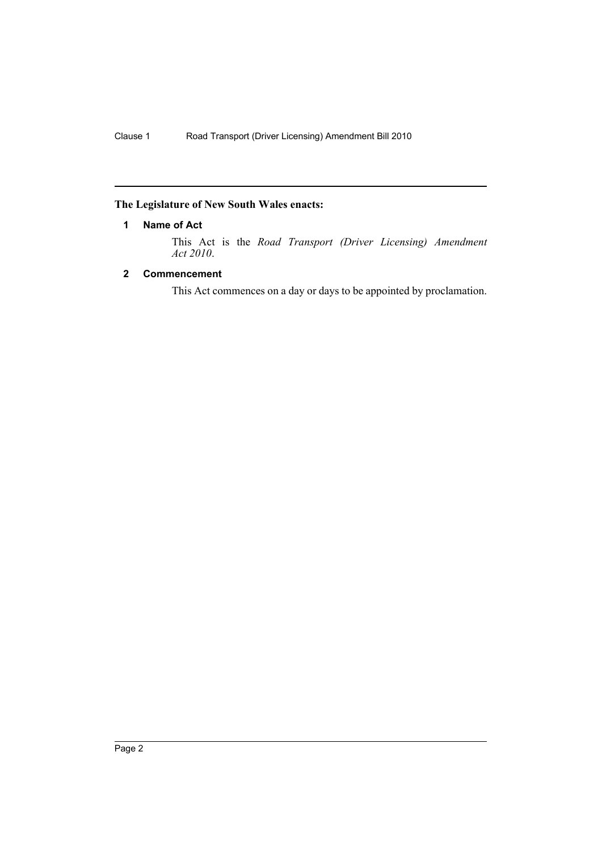#### <span id="page-3-0"></span>**The Legislature of New South Wales enacts:**

#### **1 Name of Act**

This Act is the *Road Transport (Driver Licensing) Amendment Act 2010*.

#### <span id="page-3-1"></span>**2 Commencement**

This Act commences on a day or days to be appointed by proclamation.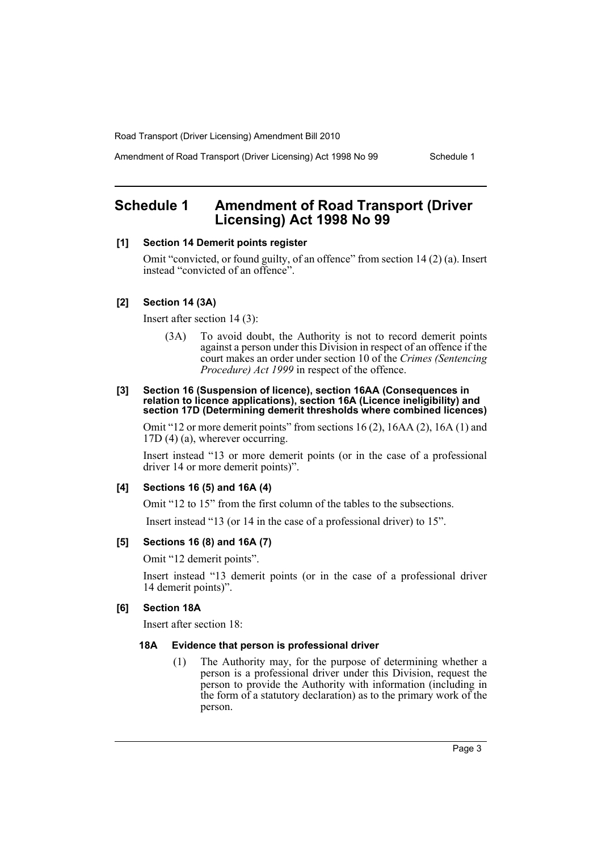Road Transport (Driver Licensing) Amendment Bill 2010

Amendment of Road Transport (Driver Licensing) Act 1998 No 99 Schedule 1

### <span id="page-4-0"></span>**Schedule 1 Amendment of Road Transport (Driver Licensing) Act 1998 No 99**

#### **[1] Section 14 Demerit points register**

Omit "convicted, or found guilty, of an offence" from section 14 (2) (a). Insert instead "convicted of an offence".

#### **[2] Section 14 (3A)**

Insert after section 14 (3):

(3A) To avoid doubt, the Authority is not to record demerit points against a person under this Division in respect of an offence if the court makes an order under section 10 of the *Crimes (Sentencing Procedure) Act 1999* in respect of the offence.

#### **[3] Section 16 (Suspension of licence), section 16AA (Consequences in relation to licence applications), section 16A (Licence ineligibility) and section 17D (Determining demerit thresholds where combined licences)**

Omit "12 or more demerit points" from sections 16 (2), 16AA (2), 16A (1) and 17D (4) (a), wherever occurring.

Insert instead "13 or more demerit points (or in the case of a professional driver 14 or more demerit points)".

#### **[4] Sections 16 (5) and 16A (4)**

Omit "12 to 15" from the first column of the tables to the subsections.

Insert instead "13 (or 14 in the case of a professional driver) to 15".

#### **[5] Sections 16 (8) and 16A (7)**

Omit "12 demerit points".

Insert instead "13 demerit points (or in the case of a professional driver 14 demerit points)".

#### **[6] Section 18A**

Insert after section 18:

#### **18A Evidence that person is professional driver**

(1) The Authority may, for the purpose of determining whether a person is a professional driver under this Division, request the person to provide the Authority with information (including in the form of a statutory declaration) as to the primary work of the person.